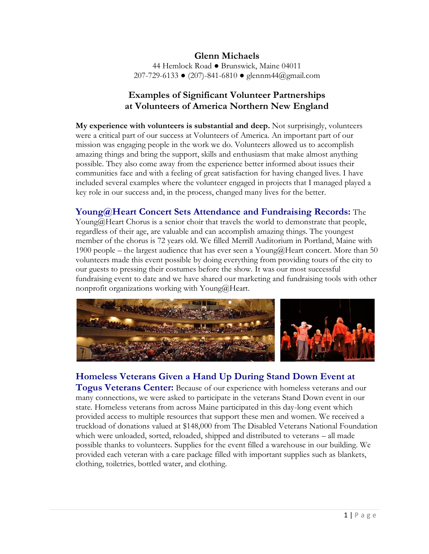#### **Glenn Michaels** 44 Hemlock Road ● Brunswick, Maine 04011 207-729-6133 ● (207)-841-6810 ● glennm44@gmail.com

# **Examples of Significant Volunteer Partnerships at Volunteers of America Northern New England**

**My experience with volunteers is substantial and deep.** Not surprisingly, volunteers were a critical part of our success at Volunteers of America. An important part of our mission was engaging people in the work we do. Volunteers allowed us to accomplish amazing things and bring the support, skills and enthusiasm that make almost anything possible. They also come away from the experience better informed about issues their communities face and with a feeling of great satisfaction for having changed lives. I have included several examples where the volunteer engaged in projects that I managed played a key role in our success and, in the process, changed many lives for the better.

### **Young@Heart Concert Sets Attendance and Fundraising Records:** The

Young@Heart Chorus is a senior choir that travels the world to demonstrate that people, regardless of their age, are valuable and can accomplish amazing things. The youngest member of the chorus is 72 years old. We filled Merrill Auditorium in Portland, Maine with 1900 people – the largest audience that has ever seen a Young@Heart concert. More than 50 volunteers made this event possible by doing everything from providing tours of the city to our guests to pressing their costumes before the show. It was our most successful fundraising event to date and we have shared our marketing and fundraising tools with other nonprofit organizations working with Young@Heart.



# **Homeless Veterans Given a Hand Up During Stand Down Event at**

**Togus Veterans Center:** Because of our experience with homeless veterans and our many connections, we were asked to participate in the veterans Stand Down event in our state. Homeless veterans from across Maine participated in this day-long event which provided access to multiple resources that support these men and women. We received a truckload of donations valued at \$148,000 from The Disabled Veterans National Foundation which were unloaded, sorted, reloaded, shipped and distributed to veterans – all made possible thanks to volunteers. Supplies for the event filled a warehouse in our building. We provided each veteran with a care package filled with important supplies such as blankets, clothing, toiletries, bottled water, and clothing.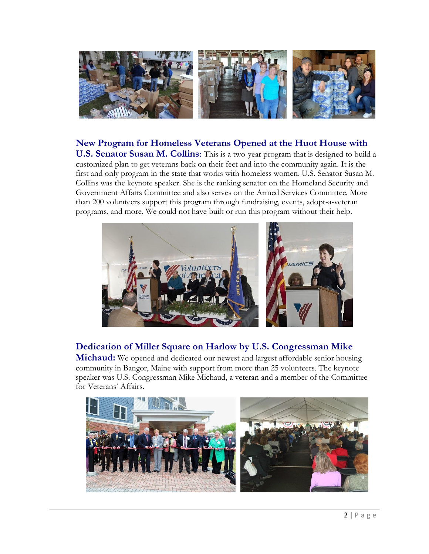

## **New Program for Homeless Veterans Opened at the Huot House with**

**U.S. Senator Susan M. Collins**: This is a two-year program that is designed to build a customized plan to get veterans back on their feet and into the community again. It is the first and only program in the state that works with homeless women. U.S. Senator Susan M. Collins was the keynote speaker. She is the ranking senator on the Homeland Security and Government Affairs Committee and also serves on the Armed Services Committee. More than 200 volunteers support this program through fundraising, events, adopt-a-veteran programs, and more. We could not have built or run this program without their help.



# **Dedication of Miller Square on Harlow by U.S. Congressman Mike**

**Michaud:** We opened and dedicated our newest and largest affordable senior housing community in Bangor, Maine with support from more than 25 volunteers. The keynote speaker was U.S. Congressman Mike Michaud, a veteran and a member of the Committee for Veterans' Affairs.

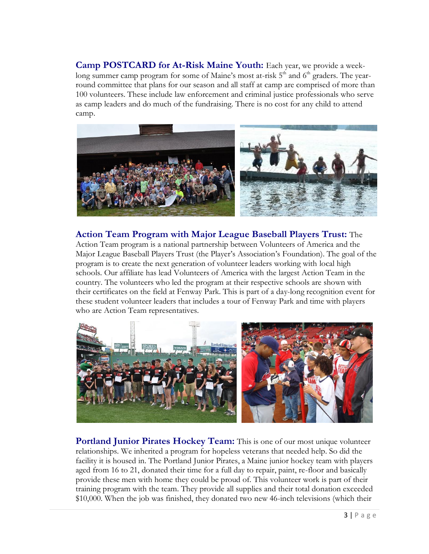**Camp POSTCARD for At-Risk Maine Youth:** Each year, we provide a weeklong summer camp program for some of Maine's most at-risk  $5<sup>th</sup>$  and  $6<sup>th</sup>$  graders. The yearround committee that plans for our season and all staff at camp are comprised of more than 100 volunteers. These include law enforcement and criminal justice professionals who serve as camp leaders and do much of the fundraising. There is no cost for any child to attend camp.



**Action Team Program with Major League Baseball Players Trust:** The Action Team program is a national partnership between Volunteers of America and the Major League Baseball Players Trust (the Player's Association's Foundation). The goal of the program is to create the next generation of volunteer leaders working with local high schools. Our affiliate has lead Volunteers of America with the largest Action Team in the country. The volunteers who led the program at their respective schools are shown with their certificates on the field at Fenway Park. This is part of a day-long recognition event for these student volunteer leaders that includes a tour of Fenway Park and time with players who are Action Team representatives.



**Portland Junior Pirates Hockey Team:** This is one of our most unique volunteer relationships. We inherited a program for hopeless veterans that needed help. So did the facility it is housed in. The Portland Junior Pirates, a Maine junior hockey team with players aged from 16 to 21, donated their time for a full day to repair, paint, re-floor and basically provide these men with home they could be proud of. This volunteer work is part of their training program with the team. They provide all supplies and their total donation exceeded \$10,000. When the job was finished, they donated two new 46-inch televisions (which their